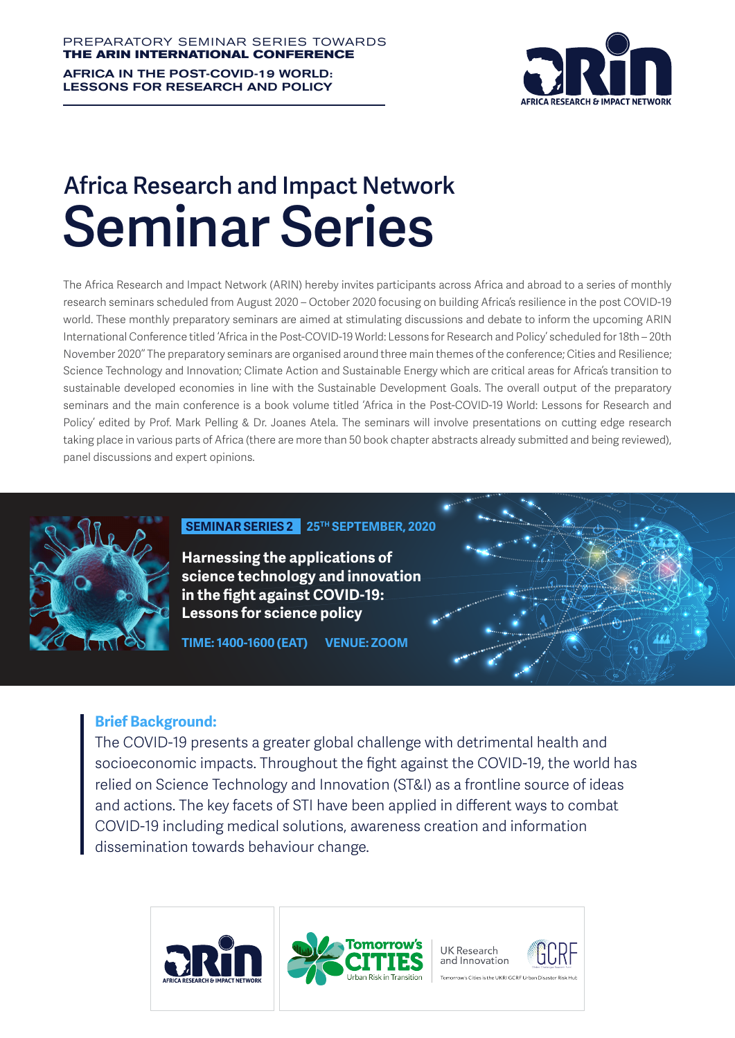AFRICA IN THE POST-COVID-19 WORLD: LESSONS FOR RESEARCH AND POLICY



## **Africa Research and Impact Network Seminar Series**

The Africa Research and Impact Network (ARIN) hereby invites participants across Africa and abroad to a series of monthly research seminars scheduled from August 2020 – October 2020 focusing on building Africa's resilience in the post COVID-19 world. These monthly preparatory seminars are aimed at stimulating discussions and debate to inform the upcoming ARIN International Conference titled 'Africa in the Post-COVID-19 World: Lessons for Research and Policy' scheduled for 18th – 20th November 2020'' The preparatory seminars are organised around three main themes of the conference; Cities and Resilience; Science Technology and Innovation; Climate Action and Sustainable Energy which are critical areas for Africa's transition to sustainable developed economies in line with the Sustainable Development Goals. The overall output of the preparatory seminars and the main conference is a book volume titled 'Africa in the Post-COVID-19 World: Lessons for Research and Policy' edited by Prof. Mark Pelling & Dr. Joanes Atela. The seminars will involve presentations on cutting edge research taking place in various parts of Africa (there are more than 50 book chapter abstracts already submitted and being reviewed). panel discussions and expert opinions.



#### **25TH SEPTEMBER, 2020 SEMINAR SERIES 2**

**Harnessing the applications of science technology and innovation in the fight against COVID-19: Lessons for science policy**

**TIME: 1400-1600 (EAT) VENUE: ZOOM** 

#### **Brief Background:**

The COVID-19 presents a greater global challenge with detrimental health and socioeconomic impacts. Throughout the fight against the COVID-19, the world has relied on Science Technology and Innovation (ST&I) as a frontline source of ideas and actions. The key facets of STI have been applied in different ways to combat COVID-19 including medical solutions, awareness creation and information dissemination towards behaviour change.

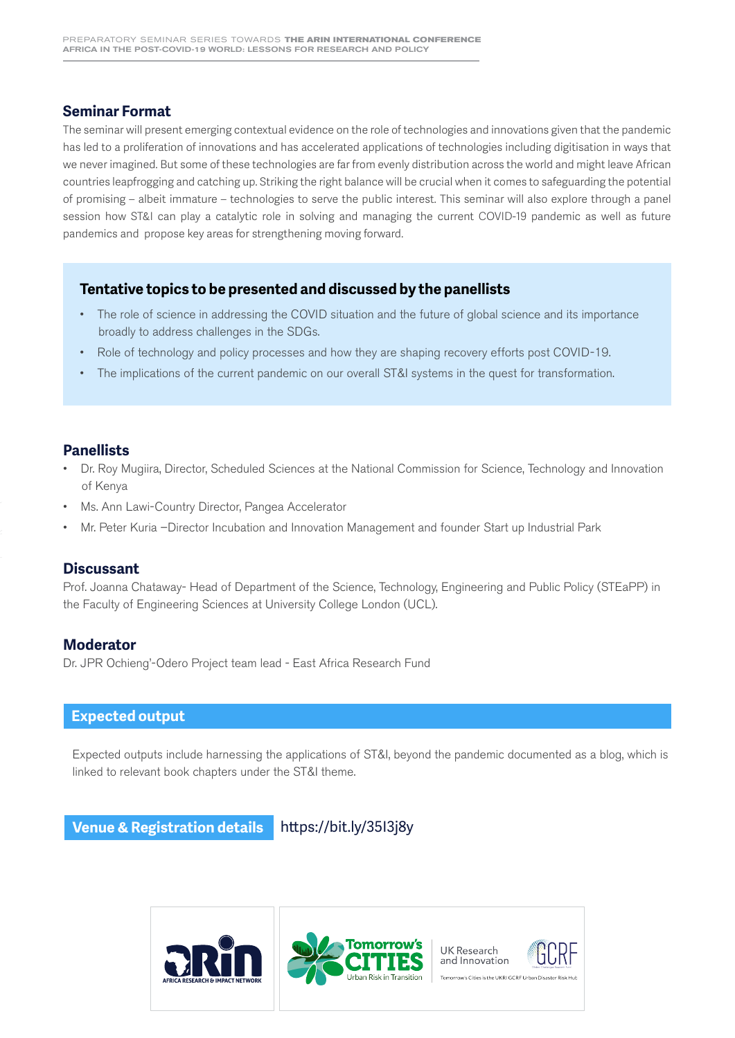#### **Seminar Format**

The seminar will present emerging contextual evidence on the role of technologies and innovations given that the pandemic has led to a proliferation of innovations and has accelerated applications of technologies including digitisation in ways that we never imagined. But some of these technologies are far from evenly distribution across the world and might leave African countries leapfrogging and catching up. Striking the right balance will be crucial when it comes to safeguarding the potential of promising – albeit immature – technologies to serve the public interest. This seminar will also explore through a panel session how ST&I can play a catalytic role in solving and managing the current COVID-19 pandemic as well as future pandemics and propose key areas for strengthening moving forward.

#### **Tentative topics to be presented and discussed by the panellists**

- The role of science in addressing the COVID situation and the future of global science and its importance broadly to address challenges in the SDGs.
- Role of technology and policy processes and how they are shaping recovery efforts post COVID-19.
- The implications of the current pandemic on our overall ST&I systems in the quest for transformation.

#### **Panellists**

- Dr. Roy Mugiira, Director, Scheduled Sciences at the National Commission for Science, Technology and Innovation of Kenya
- Ms. Ann Lawi-Country Director, Pangea Accelerator
- Mr. Peter Kuria –Director Incubation and Innovation Management and founder Start up Industrial Park

#### **Discussant**

Prof. Joanna Chataway- Head of Department of the Science, Technology, Engineering and Public Policy (STEaPP) in the Faculty of Engineering Sciences at University College London (UCL).

#### **Moderator**

Dr. JPR Ochieng'-Odero Project team lead - East Africa Research Fund

#### **Expected output**

Expected outputs include harnessing the applications of ST&I, beyond the pandemic documented as a blog, which is linked to relevant book chapters under the ST&I theme.

**Venue & Registration details** https://bit.ly/35I3j8y